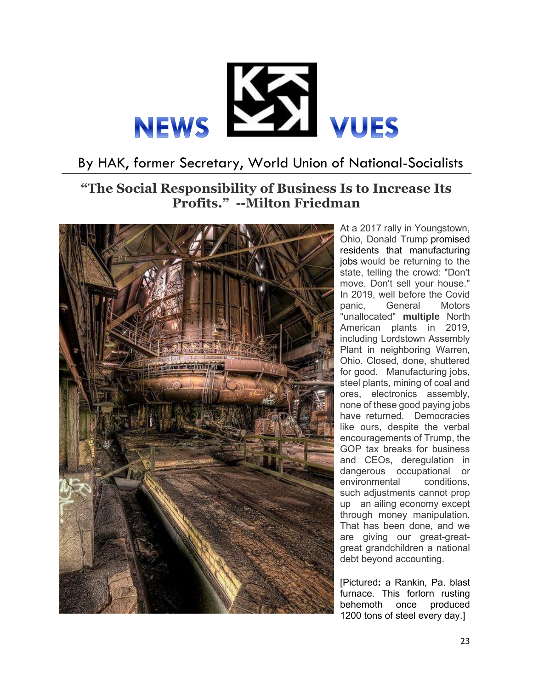

## By HAK, former Secretary, World Union of National-Socialists

## **"The Social Responsibility of Business Is to Increase Its Profits." --Milton Friedman**



At a 2017 rally in Youngstown, Ohio, Donald Trump promised residents that manufacturing jobs would be returning to the state, telling the crowd: "Don't move. Don't sell your house." In 2019, well before the Covid<br>panic. General Motors panic. General "unallocated" **multiple** North American plants in 2019, including Lordstown Assembly Plant in neighboring Warren, Ohio. Closed, done, shuttered for good. Manufacturing jobs, steel plants, mining of coal and ores, electronics assembly, none of these good paying jobs have returned. Democracies like ours, despite the verbal encouragements of Trump, the GOP tax breaks for business and CEOs, deregulation in dangerous occupational or environmental conditions, such adjustments cannot prop up an ailing economy except through money manipulation. That has been done, and we are giving our great-greatgreat grandchildren a national debt beyond accounting.

[Pictured**:** a Rankin, Pa. blast furnace. This forlorn rusting behemoth once produced 1200 tons of steel every day.]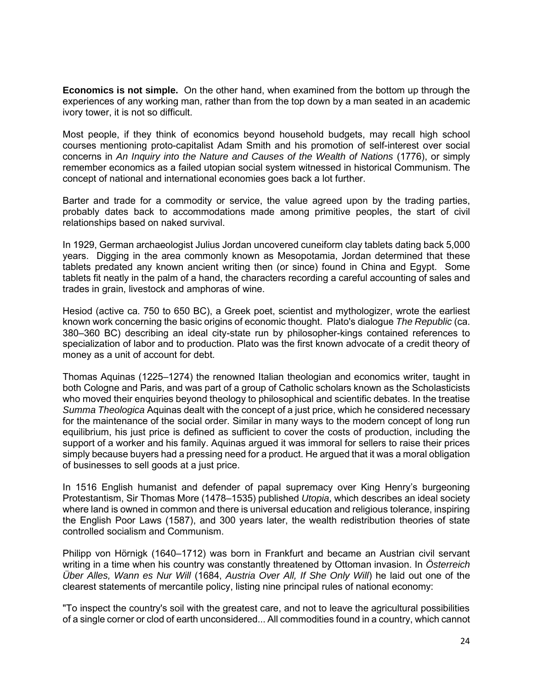**Economics is not simple.** On the other hand, when examined from the bottom up through the experiences of any working man, rather than from the top down by a man seated in an academic ivory tower, it is not so difficult.

Most people, if they think of economics beyond household budgets, may recall high school courses mentioning proto-capitalist Adam Smith and his promotion of self-interest over social concerns in *An Inquiry into the Nature and Causes of the Wealth of Nations* (1776), or simply remember economics as a failed utopian social system witnessed in historical Communism. The concept of national and international economies goes back a lot further.

Barter and trade for a commodity or service, the value agreed upon by the trading parties, probably dates back to accommodations made among primitive peoples, the start of civil relationships based on naked survival.

In 1929, German archaeologist Julius Jordan uncovered cuneiform clay tablets dating back 5,000 years. Digging in the area commonly known as Mesopotamia, Jordan determined that these tablets predated any known ancient writing then (or since) found in China and Egypt. Some tablets fit neatly in the palm of a hand, the characters recording a careful accounting of sales and trades in grain, livestock and amphoras of wine.

Hesiod (active ca. 750 to 650 BC), a Greek poet, scientist and mythologizer, wrote the earliest known work concerning the basic origins of economic thought. Plato's dialogue *The Republic* (ca. 380–360 BC) describing an ideal city-state run by philosopher-kings contained references to specialization of labor and to production. Plato was the first known advocate of a credit theory of money as a unit of account for debt.

Thomas Aquinas (1225–1274) the renowned Italian theologian and economics writer, taught in both Cologne and Paris, and was part of a group of Catholic scholars known as the Scholasticists who moved their enquiries beyond theology to philosophical and scientific debates. In the treatise *Summa Theologica* Aquinas dealt with the concept of a just price, which he considered necessary for the maintenance of the social order. Similar in many ways to the modern concept of long run equilibrium, his just price is defined as sufficient to cover the costs of production, including the support of a worker and his family. Aquinas argued it was immoral for sellers to raise their prices simply because buyers had a pressing need for a product. He argued that it was a moral obligation of businesses to sell goods at a just price.

In 1516 English humanist and defender of papal supremacy over King Henry's burgeoning Protestantism, Sir Thomas More (1478–1535) published *Utopia*, which describes an ideal society where land is owned in common and there is universal education and religious tolerance, inspiring the English Poor Laws (1587), and 300 years later, the wealth redistribution theories of state controlled socialism and Communism.

Philipp von Hörnigk (1640–1712) was born in Frankfurt and became an Austrian civil servant writing in a time when his country was constantly threatened by Ottoman invasion. In *Österreich Über Alles, Wann es Nur Will* (1684, *Austria Over All, If She Only Will*) he laid out one of the clearest statements of mercantile policy, listing nine principal rules of national economy:

"To inspect the country's soil with the greatest care, and not to leave the agricultural possibilities of a single corner or clod of earth unconsidered... All commodities found in a country, which cannot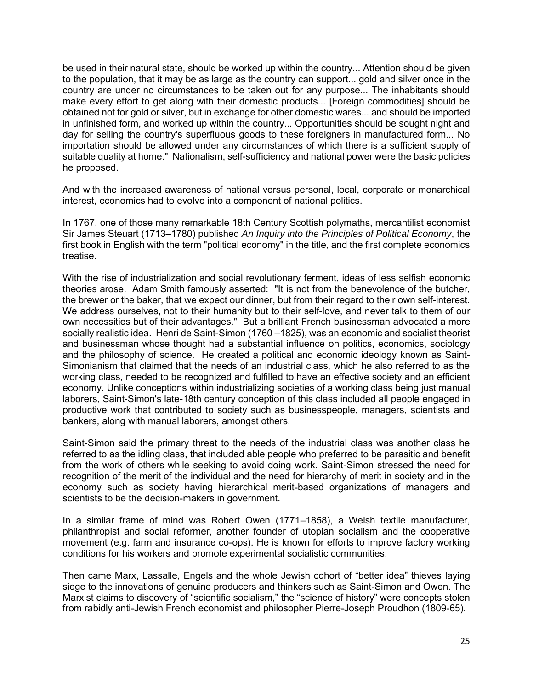be used in their natural state, should be worked up within the country... Attention should be given to the population, that it may be as large as the country can support... gold and silver once in the country are under no circumstances to be taken out for any purpose... The inhabitants should make every effort to get along with their domestic products... [Foreign commodities] should be obtained not for gold or silver, but in exchange for other domestic wares... and should be imported in unfinished form, and worked up within the country... Opportunities should be sought night and day for selling the country's superfluous goods to these foreigners in manufactured form... No importation should be allowed under any circumstances of which there is a sufficient supply of suitable quality at home." Nationalism, self-sufficiency and national power were the basic policies he proposed.

And with the increased awareness of national versus personal, local, corporate or monarchical interest, economics had to evolve into a component of national politics.

In 1767, one of those many remarkable 18th Century Scottish polymaths, mercantilist economist Sir James Steuart (1713–1780) published *An Inquiry into the Principles of Political Economy*, the first book in English with the term "political economy" in the title, and the first complete economics treatise.

With the rise of industrialization and social revolutionary ferment, ideas of less selfish economic theories arose. Adam Smith famously asserted: "It is not from the benevolence of the butcher, the brewer or the baker, that we expect our dinner, but from their regard to their own self-interest. We address ourselves, not to their humanity but to their self-love, and never talk to them of our own necessities but of their advantages." But a brilliant French businessman advocated a more socially realistic idea. Henri de Saint-Simon (1760 –1825), was an economic and socialist theorist and businessman whose thought had a substantial influence on politics, economics, sociology and the philosophy of science. He created a political and economic ideology known as Saint-Simonianism that claimed that the needs of an industrial class, which he also referred to as the working class, needed to be recognized and fulfilled to have an effective society and an efficient economy. Unlike conceptions within industrializing societies of a working class being just manual laborers, Saint-Simon's late-18th century conception of this class included all people engaged in productive work that contributed to society such as businesspeople, managers, scientists and bankers, along with manual laborers, amongst others.

Saint-Simon said the primary threat to the needs of the industrial class was another class he referred to as the idling class, that included able people who preferred to be parasitic and benefit from the work of others while seeking to avoid doing work. Saint-Simon stressed the need for recognition of the merit of the individual and the need for hierarchy of merit in society and in the economy such as society having hierarchical merit-based organizations of managers and scientists to be the decision-makers in government.

In a similar frame of mind was Robert Owen (1771–1858), a Welsh textile manufacturer, philanthropist and social reformer, another founder of utopian socialism and the cooperative movement (e.g. farm and insurance co-ops). He is known for efforts to improve factory working conditions for his workers and promote experimental socialistic communities.

Then came Marx, Lassalle, Engels and the whole Jewish cohort of "better idea" thieves laying siege to the innovations of genuine producers and thinkers such as Saint-Simon and Owen. The Marxist claims to discovery of "scientific socialism," the "science of history" were concepts stolen from rabidly anti-Jewish French economist and philosopher Pierre-Joseph Proudhon (1809-65).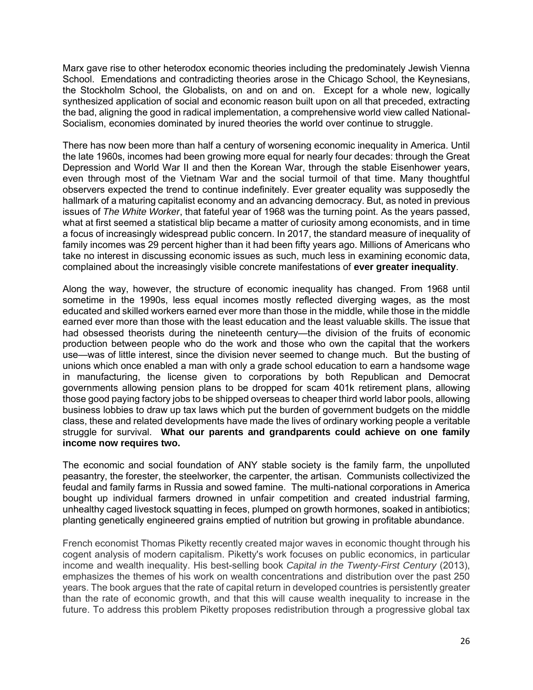Marx gave rise to other heterodox economic theories including the predominately Jewish Vienna School. Emendations and contradicting theories arose in the Chicago School, the Keynesians, the Stockholm School, the Globalists, on and on and on. Except for a whole new, logically synthesized application of social and economic reason built upon on all that preceded, extracting the bad, aligning the good in radical implementation, a comprehensive world view called National-Socialism, economies dominated by inured theories the world over continue to struggle.

There has now been more than half a century of worsening economic inequality in America. Until the late 1960s, incomes had been growing more equal for nearly four decades: through the Great Depression and World War II and then the Korean War, through the stable Eisenhower years, even through most of the Vietnam War and the social turmoil of that time. Many thoughtful observers expected the trend to continue indefinitely. Ever greater equality was supposedly the hallmark of a maturing capitalist economy and an advancing democracy. But, as noted in previous issues of *The White Worker*, that fateful year of 1968 was the turning point. As the years passed, what at first seemed a statistical blip became a matter of curiosity among economists, and in time a focus of increasingly widespread public concern. In 2017, the standard measure of inequality of family incomes was 29 percent higher than it had been fifty years ago. Millions of Americans who take no interest in discussing economic issues as such, much less in examining economic data, complained about the increasingly visible concrete manifestations of **ever greater inequality**.

Along the way, however, the structure of economic inequality has changed. From 1968 until sometime in the 1990s, less equal incomes mostly reflected diverging wages, as the most educated and skilled workers earned ever more than those in the middle, while those in the middle earned ever more than those with the least education and the least valuable skills. The issue that had obsessed theorists during the nineteenth century—the division of the fruits of economic production between people who do the work and those who own the capital that the workers use—was of little interest, since the division never seemed to change much. But the busting of unions which once enabled a man with only a grade school education to earn a handsome wage in manufacturing, the license given to corporations by both Republican and Democrat governments allowing pension plans to be dropped for scam 401k retirement plans, allowing those good paying factory jobs to be shipped overseas to cheaper third world labor pools, allowing business lobbies to draw up tax laws which put the burden of government budgets on the middle class, these and related developments have made the lives of ordinary working people a veritable struggle for survival. **What our parents and grandparents could achieve on one family income now requires two.**

The economic and social foundation of ANY stable society is the family farm, the unpolluted peasantry, the forester, the steelworker, the carpenter, the artisan. Communists collectivized the feudal and family farms in Russia and sowed famine. The multi-national corporations in America bought up individual farmers drowned in unfair competition and created industrial farming, unhealthy caged livestock squatting in feces, plumped on growth hormones, soaked in antibiotics; planting genetically engineered grains emptied of nutrition but growing in profitable abundance.

French economist Thomas Piketty recently created major waves in economic thought through his cogent analysis of modern capitalism. Piketty's work focuses on public economics, in particular income and wealth inequality. His best-selling book *Capital in the Twenty-First Century* (2013), emphasizes the themes of his work on wealth concentrations and distribution over the past 250 years. The book argues that the rate of capital return in developed countries is persistently greater than the rate of economic growth, and that this will cause wealth inequality to increase in the future. To address this problem Piketty proposes redistribution through a progressive global tax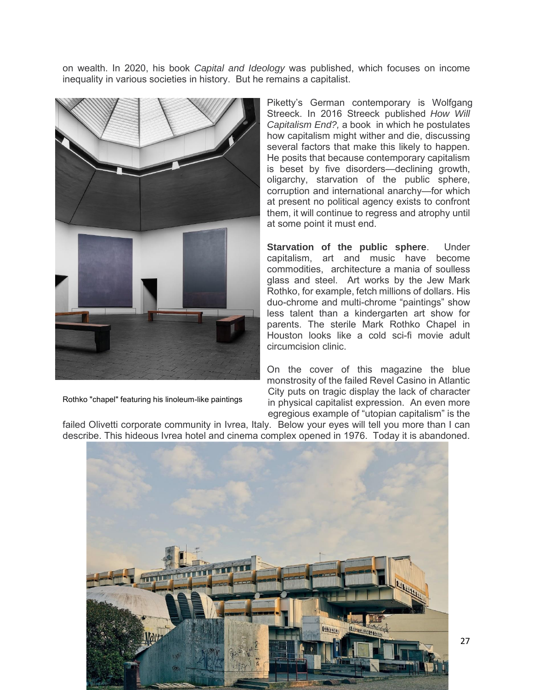on wealth. In 2020, his book *Capital and Ideology* was published, which focuses on income inequality in various societies in history. But he remains a capitalist.



Piketty's German contemporary is Wolfgang Streeck. In 2016 Streeck published *How Will Capitalism End?,* a book in which he postulates how capitalism might wither and die, discussing several factors that make this likely to happen. He posits that because contemporary capitalism is beset by five disorders—declining growth, oligarchy, starvation of the public sphere, corruption and international anarchy—for which at present no political agency exists to confront them, it will continue to regress and atrophy until at some point it must end.

**Starvation of the public sphere**. Under capitalism, art and music have become commodities, architecture a mania of soulless glass and steel. Art works by the Jew Mark Rothko, for example, fetch millions of dollars. His duo-chrome and multi-chrome "paintings" show less talent than a kindergarten art show for parents. The sterile Mark Rothko Chapel in Houston looks like a cold sci-fi movie adult circumcision clinic.

On the cover of this magazine the blue monstrosity of the failed Revel Casino in Atlantic City puts on tragic display the lack of character in physical capitalist expression. An even more egregious example of "utopian capitalism" is the

Rothko "chapel" featuring his linoleum-like paintings

failed Olivetti corporate community in Ivrea, Italy. Below your eyes will tell you more than I can describe. This hideous Ivrea hotel and cinema complex opened in 1976. Today it is abandoned.

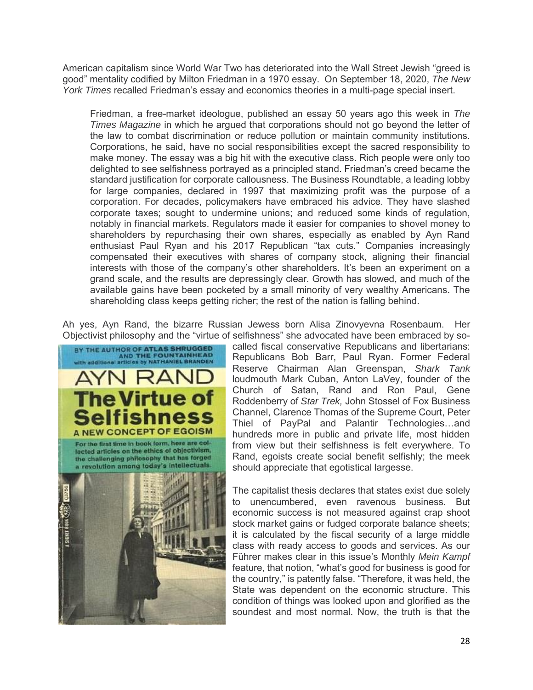American capitalism since World War Two has deteriorated into the Wall Street Jewish "greed is good" mentality codified by Milton Friedman in a 1970 essay. On September 18, 2020, *The New York Times* recalled Friedman's essay and economics theories in a multi-page special insert.

Friedman, a free-market ideologue, published an essay 50 years ago this week in *The Times Magazine* in which he argued that corporations should not go beyond the letter of the law to combat discrimination or reduce pollution or maintain community institutions. Corporations, he said, have no social responsibilities except the sacred responsibility to make money. The essay was a big hit with the executive class. Rich people were only too delighted to see selfishness portrayed as a principled stand. Friedman's creed became the standard justification for corporate callousness. The Business Roundtable, a leading lobby for large companies, declared in 1997 that maximizing profit was the purpose of a corporation. For decades, policymakers have embraced his advice. They have slashed corporate taxes; sought to undermine unions; and reduced some kinds of regulation, notably in financial markets. Regulators made it easier for companies to shovel money to shareholders by repurchasing their own shares, especially as enabled by Ayn Rand enthusiast Paul Ryan and his 2017 Republican "tax cuts." Companies increasingly compensated their executives with shares of company stock, aligning their financial interests with those of the company's other shareholders. It's been an experiment on a grand scale, and the results are depressingly clear. Growth has slowed, and much of the available gains have been pocketed by a small minority of very wealthy Americans. The shareholding class keeps getting richer; the rest of the nation is falling behind.

Ah yes, Ayn Rand, the bizarre Russian Jewess born Alisa Zinovyevna Rosenbaum. Her Objectivist philosophy and the "virtue of selfishness" she advocated have been embraced by so-



called fiscal conservative Republicans and libertarians: Republicans Bob Barr, Paul Ryan. Former Federal Reserve Chairman Alan Greenspan, *Shark Tank* loudmouth Mark Cuban, Anton LaVey, founder of the Church of Satan, Rand and Ron Paul, Gene Roddenberry of *Star Trek,* John Stossel of Fox Business Channel, Clarence Thomas of the Supreme Court, Peter Thiel of PayPal and Palantir Technologies…and hundreds more in public and private life, most hidden from view but their selfishness is felt everywhere. To Rand, egoists create social benefit selfishly; the meek should appreciate that egotistical largesse.

The capitalist thesis declares that states exist due solely to unencumbered, even ravenous business. But economic success is not measured against crap shoot stock market gains or fudged corporate balance sheets; it is calculated by the fiscal security of a large middle class with ready access to goods and services. As our Führer makes clear in this issue's Monthly *Mein Kampf* feature, that notion, "what's good for business is good for the country," is patently false. "Therefore, it was held, the State was dependent on the economic structure. This condition of things was looked upon and glorified as the soundest and most normal. Now, the truth is that the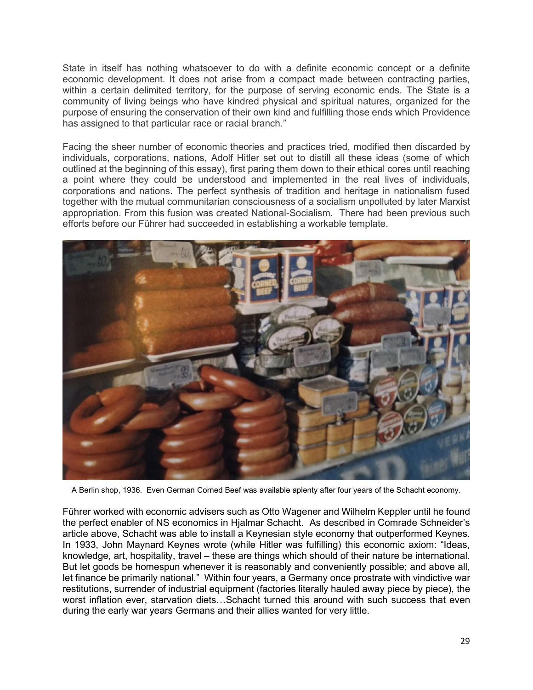State in itself has nothing whatsoever to do with a definite economic concept or a definite economic development. It does not arise from a compact made between contracting parties, within a certain delimited territory, for the purpose of serving economic ends. The State is a community of living beings who have kindred physical and spiritual natures, organized for the purpose of ensuring the conservation of their own kind and fulfilling those ends which Providence has assigned to that particular race or racial branch."

Facing the sheer number of economic theories and practices tried, modified then discarded by individuals, corporations, nations, Adolf Hitler set out to distill all these ideas (some of which outlined at the beginning of this essay), first paring them down to their ethical cores until reaching a point where they could be understood and implemented in the real lives of individuals, corporations and nations. The perfect synthesis of tradition and heritage in nationalism fused together with the mutual communitarian consciousness of a socialism unpolluted by later Marxist appropriation. From this fusion was created National-Socialism. There had been previous such efforts before our Führer had succeeded in establishing a workable template.



A Berlin shop, 1936. Even German Corned Beef was available aplenty after four years of the Schacht economy.

Führer worked with economic advisers such as Otto Wagener and Wilhelm Keppler until he found the perfect enabler of NS economics in Hjalmar Schacht. As described in Comrade Schneider's article above, Schacht was able to install a Keynesian style economy that outperformed Keynes. In 1933, John Maynard Keynes wrote (while Hitler was fulfilling) this economic axiom: "Ideas, knowledge, art, hospitality, travel – these are things which should of their nature be international. But let goods be homespun whenever it is reasonably and conveniently possible; and above all, let finance be primarily national." Within four years, a Germany once prostrate with vindictive war restitutions, surrender of industrial equipment (factories literally hauled away piece by piece), the worst inflation ever, starvation diets...Schacht turned this around with such success that even during the early war years Germans and their allies wanted for very little.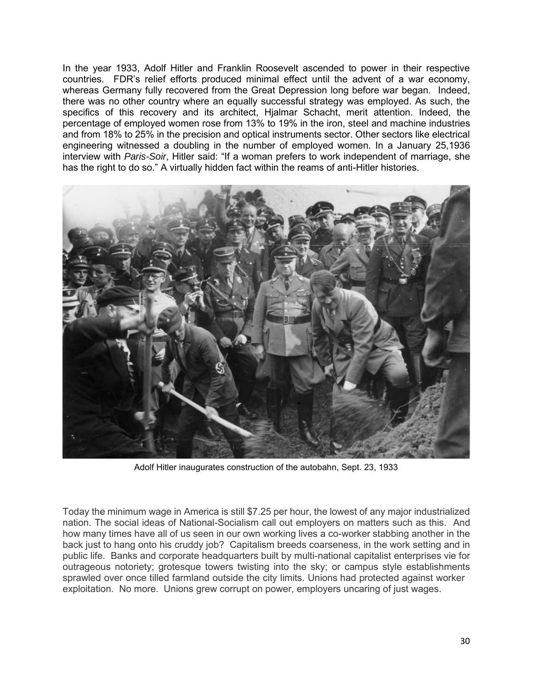In the year 1933, Adolf Hitler and Franklin Roosevelt ascended to power in their respective countries. FDR's relief efforts produced minimal effect until the advent of a war economy, whereas Germany fully recovered from the Great Depression long before war began. Indeed, there was no other country where an equally successful strategy was employed. As such, the specifics of this recovery and its architect, Hjalmar Schacht, merit attention. Indeed, the percentage of employed women rose from 13% to 19% in the iron, steel and machine industries and from 18% to 25% in the precision and optical instruments sector. Other sectors like electrical engineering witnessed a doubling in the number of employed women. In a January 25,1936 interview with *Paris-Soir*, Hitler said: "If a woman prefers to work independent of marriage, she has the right to do so." A virtually hidden fact within the reams of anti-Hitler histories.



Adolf Hitler inaugurates construction of the autobahn, Sept. 23, 1933

Today the minimum wage in America is still \$7.25 per hour, the lowest of any major industrialized nation. The social ideas of National-Socialism call out employers on matters such as this. And how many times have all of us seen in our own working lives a co-worker stabbing another in the back just to hang onto his cruddy job? Capitalism breeds coarseness, in the work setting and in public life. Banks and corporate headquarters built by multi-national capitalist enterprises vie for outrageous notoriety; grotesque towers twisting into the sky; or campus style establishments sprawled over once tilled farmland outside the city limits. Unions had protected against worker exploitation. No more. Unions grew corrupt on power, employers uncaring of just wages.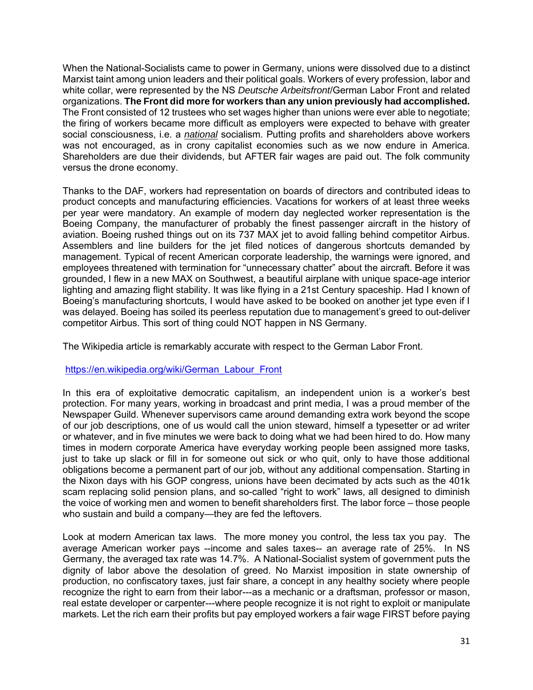When the National-Socialists came to power in Germany, unions were dissolved due to a distinct Marxist taint among union leaders and their political goals. Workers of every profession, labor and white collar, were represented by the NS *Deutsche Arbeitsfront*/German Labor Front and related organizations. **The Front did more for workers than any union previously had accomplished.** The Front consisted of 12 trustees who set wages higher than unions were ever able to negotiate; the firing of workers became more difficult as employers were expected to behave with greater social consciousness, i.e. a *national* socialism. Putting profits and shareholders above workers was not encouraged, as in crony capitalist economies such as we now endure in America. Shareholders are due their dividends, but AFTER fair wages are paid out. The folk community versus the drone economy.

Thanks to the DAF, workers had representation on boards of directors and contributed ideas to product concepts and manufacturing efficiencies. Vacations for workers of at least three weeks per year were mandatory. An example of modern day neglected worker representation is the Boeing Company, the manufacturer of probably the finest passenger aircraft in the history of aviation. Boeing rushed things out on its 737 MAX jet to avoid falling behind competitor Airbus. Assemblers and line builders for the jet filed notices of dangerous shortcuts demanded by management. Typical of recent American corporate leadership, the warnings were ignored, and employees threatened with termination for "unnecessary chatter" about the aircraft. Before it was grounded, I flew in a new MAX on Southwest, a beautiful airplane with unique space-age interior lighting and amazing flight stability. It was like flying in a 21st Century spaceship. Had I known of Boeing's manufacturing shortcuts, I would have asked to be booked on another jet type even if I was delayed. Boeing has soiled its peerless reputation due to management's greed to out-deliver competitor Airbus. This sort of thing could NOT happen in NS Germany.

The Wikipedia article is remarkably accurate with respect to the German Labor Front.

## [https://en.wikipedia.org/wiki/German\\_Labour\\_Front](https://en.wikipedia.org/wiki/German_Labour_Front)

In this era of exploitative democratic capitalism, an independent union is a worker's best protection. For many years, working in broadcast and print media, I was a proud member of the Newspaper Guild. Whenever supervisors came around demanding extra work beyond the scope of our job descriptions, one of us would call the union steward, himself a typesetter or ad writer or whatever, and in five minutes we were back to doing what we had been hired to do. How many times in modern corporate America have everyday working people been assigned more tasks, just to take up slack or fill in for someone out sick or who quit, only to have those additional obligations become a permanent part of our job, without any additional compensation. Starting in the Nixon days with his GOP congress, unions have been decimated by acts such as the 401k scam replacing solid pension plans, and so-called "right to work" laws, all designed to diminish the voice of working men and women to benefit shareholders first. The labor force – those people who sustain and build a company—they are fed the leftovers.

Look at modern American tax laws. The more money you control, the less tax you pay. The average American worker pays --income and sales taxes-- an average rate of 25%. In NS Germany, the averaged tax rate was 14.7%. A National-Socialist system of government puts the dignity of labor above the desolation of greed. No Marxist imposition in state ownership of production, no confiscatory taxes, just fair share, a concept in any healthy society where people recognize the right to earn from their labor---as a mechanic or a draftsman, professor or mason, real estate developer or carpenter---where people recognize it is not right to exploit or manipulate markets. Let the rich earn their profits but pay employed workers a fair wage FIRST before paying